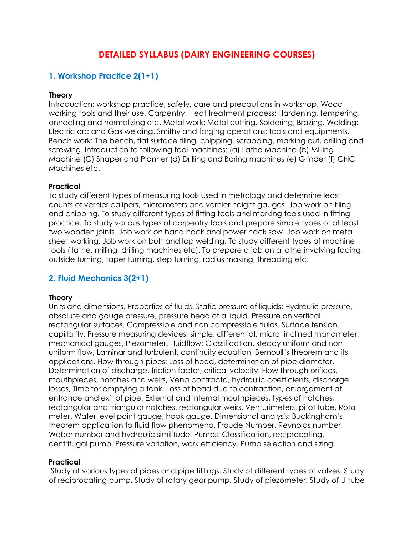# **DETAILED SYLLABUS (DAIRY ENGINEERING COURSES)**

# **1. Workshop Practice 2(1+1)**

#### **Theory**

Introduction: workshop practice, safety, care and precautions in workshop. Wood working tools and their use, Carpentry. Heat treatment process: Hardening, tempering, annealing and normalizing etc. Metal work: Metal cutting. Soldering, Brazing. Welding: Electric arc and Gas welding. Smithy and forging operations: tools and equipments. Bench work: The bench, flat surface filing, chipping, scrapping, marking out, drilling and screwing. Introduction to following tool machines: (a) Lathe Machine (b) Milling Machine (C) Shaper and Planner (d) Drilling and Boring machines (e) Grinder (f) CNC Machines etc.

### **Practical**

To study different types of measuring tools used in metrology and determine least counts of vernier calipers, micrometers and vernier height gauges. Job work on filing and chipping. To study different types of fitting tools and marking tools used in fitting practice. To study various types of carpentry tools and prepare simple types of at least two wooden joints. Job work on hand hack and power hack saw. Job work on metal sheet working. Job work on butt and lap welding. To study different types of machine tools ( lathe, milling, drilling machines etc). To prepare a job on a lathe involving facing, outside turning, taper turning, step turning, radius making, threading etc.

## **2. Fluid Mechanics 3(2+1)**

#### **Theory**

Units and dimensions, Properties of fluids. Static pressure of liquids: Hydraulic pressure, absolute and gauge pressure, pressure head of a liquid. Pressure on vertical rectangular surfaces. Compressible and non compressible fluids. Surface tension, capillarity. Pressure measuring devices, simple, differential, micro, inclined manometer, mechanical gauges, Piezometer. Fluidflow: Classification, steady uniform and non uniform flow, Laminar and turbulent, continuity equation, Bernoulli's theorem and its applications. Flow through pipes: Loss of head, determination of pipe diameter. Determination of discharge, friction factor, critical velocity. Flow through orifices, mouthpieces, notches and weirs, Vena contracta, hydraulic coefficients, discharge losses, Time for emptying a tank. Loss of head due to contraction, enlargement at entrance and exit of pipe. External and internal mouthpieces, types of notches, rectangular and triangular notches, rectangular weirs. Venturimeters, pitot tube, Rota meter. Water level point gauge, hook gauge. Dimensional analysis: Buckingham's theorem application to fluid flow phenomena. Froude Number, Reynolds number. Weber number and hydraulic similitude. Pumps: Classification, reciprocating, centrifugal pump. Pressure variation, work efficiency. Pump selection and sizing.

### **Practical**

Study of various types of pipes and pipe fittings. Study of different types of valves. Study of reciprocating pump. Study of rotary gear pump. Study of piezometer. Study of U tube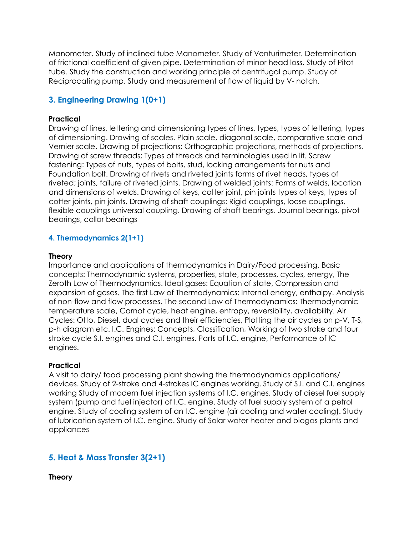Manometer. Study of inclined tube Manometer. Study of Venturimeter. Determination of frictional coefficient of given pipe. Determination of minor head loss. Study of Pitot tube. Study the construction and working principle of centrifugal pump. Study of Reciprocating pump. Study and measurement of flow of liquid by V- notch.

## **3. Engineering Drawing 1(0+1)**

### **Practical**

Drawing of lines, lettering and dimensioning types of lines, types, types of lettering, types of dimensioning. Drawing of scales. Plain scale, diagonal scale, comparative scale and Vernier scale. Drawing of projections; Orthographic projections, methods of projections. Drawing of screw threads; Types of threads and terminologies used in lit. Screw fastening: Types of nuts, types of bolts, stud, locking arrangements for nuts and Foundation bolt. Drawing of rivets and riveted joints forms of rivet heads, types of riveted; joints, failure of riveted joints. Drawing of welded joints: Forms of welds, location and dimensions of welds. Drawing of keys, cotter joint, pin joints types of keys, types of cotter joints, pin joints. Drawing of shaft couplings: Rigid couplings, loose couplings, flexible couplings universal coupling. Drawing of shaft bearings. Journal bearings, pivot bearings, collar bearings

### **4. Thermodynamics 2(1+1)**

#### **Theory**

Importance and applications of thermodynamics in Dairy/Food processing. Basic concepts: Thermodynamic systems, properties, state, processes, cycles, energy, The Zeroth Law of Thermodynamics. Ideal gases: Equation of state, Compression and expansion of gases. The first Law of Thermodynamics: Internal energy, enthalpy. Analysis of non-flow and flow processes. The second Law of Thermodynamics: Thermodynamic temperature scale, Carnot cycle, heat engine, entropy, reversibility, availability. Air Cycles: Otto, Diesel, dual cycles and their efficiencies, Plotting the air cycles on p-V, T-S, p-h diagram etc. I.C. Engines: Concepts, Classification, Working of two stroke and four stroke cycle S.I. engines and C.I. engines. Parts of I.C. engine, Performance of IC engines.

#### **Practical**

A visit to dairy/ food processing plant showing the thermodynamics applications/ devices. Study of 2-stroke and 4-strokes IC engines working. Study of S.I. and C.I. engines working Study of modern fuel injection systems of I.C. engines. Study of diesel fuel supply system (pump and fuel injector) of I.C. engine. Study of fuel supply system of a petrol engine. Study of cooling system of an I.C. engine (air cooling and water cooling). Study of lubrication system of I.C. engine. Study of Solar water heater and biogas plants and appliances

## **5. Heat & Mass Transfer 3(2+1)**

**Theory**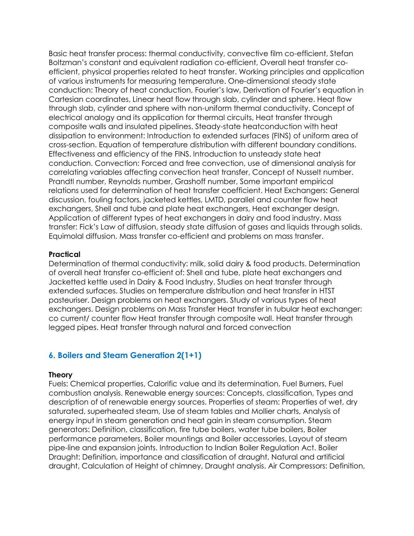Basic heat transfer process: thermal conductivity, convective film co-efficient, Stefan Boltzman's constant and equivalent radiation co-efficient, Overall heat transfer coefficient, physical properties related to heat transfer. Working principles and application of various instruments for measuring temperature. One-dimensional steady state conduction: Theory of heat conduction, Fourier's law, Derivation of Fourier's equation in Cartesian coordinates, Linear heat flow through slab, cylinder and sphere. Heat flow through slab, cylinder and sphere with non-uniform thermal conductivity. Concept of electrical analogy and its application for thermal circuits, Heat transfer through composite walls and insulated pipelines. Steady-state heatconduction with heat dissipation to environment: Introduction to extended surfaces (FINS) of uniform area of cross-section. Equation of temperature distribution with different boundary conditions. Effectiveness and efficiency of the FINS. Introduction to unsteady state heat conduction. Convection: Forced and free convection, use of dimensional analysis for correlating variables affecting convection heat transfer, Concept of Nusselt number. Prandtl number, Reynolds number, Grashoff number, Some important empirical relations used for determination of heat transfer coefficient. Heat Exchangers: General discussion, fouling factors, jacketed kettles, LMTD, parallel and counter flow heat exchangers, Shell and tube and plate heat exchangers, Heat exchanger design. Application of different types of heat exchangers in dairy and food industry. Mass transfer: Fick's Law of diffusion, steady state diffusion of gases and liquids through solids. Equimolal diffusion. Mass transfer co-efficient and problems on mass transfer.

#### **Practical**

Determination of thermal conductivity: milk, solid dairy & food products. Determination of overall heat transfer co-efficient of: Shell and tube, plate heat exchangers and Jacketted kettle used in Dairy & Food Industry. Studies on heat transfer through extended surfaces. Studies on temperature distribution and heat transfer in HTST pasteuriser. Design problems on heat exchangers. Study of various types of heat exchangers. Design problems on Mass Transfer Heat transfer in tubular heat exchanger: co current/ counter flow Heat transfer through composite wall. Heat transfer through legged pipes. Heat transfer through natural and forced convection

### **6. Boilers and Steam Generation 2(1+1)**

#### **Theory**

Fuels: Chemical properties, Calorific value and its determination, Fuel Burners, Fuel combustion analysis. Renewable energy sources: Concepts, classification, Types and description of of renewable energy sources. Properties of steam: Properties of wet, dry saturated, superheated steam, Use of steam tables and Mollier charts, Analysis of energy input in steam generation and heat gain in steam consumption. Steam generators: Definition, classification, fire tube boilers, water tube boilers, Boiler performance parameters, Boiler mountings and Boiler accessories. Layout of steam pipe-line and expansion joints. Introduction to Indian Boiler Regulation Act. Boiler Draught: Definition, importance and classification of draught, Natural and artificial draught, Calculation of Height of chimney, Draught analysis. Air Compressors: Definition,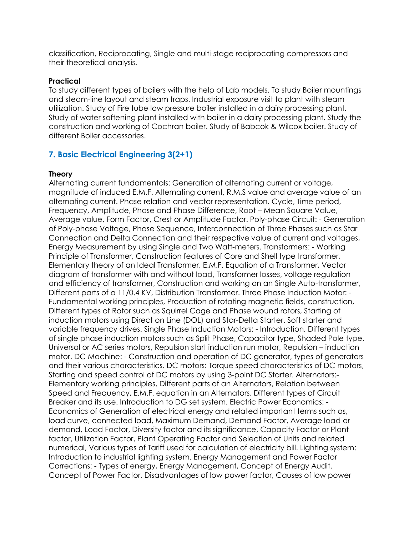classification, Reciprocating, Single and multi-stage reciprocating compressors and their theoretical analysis.

#### **Practical**

To study different types of boilers with the help of Lab models. To study Boiler mountings and steam-line layout and steam traps. Industrial exposure visit to plant with steam utilization. Study of Fire tube low pressure boiler installed in a dairy processing plant. Study of water softening plant installed with boiler in a dairy processing plant. Study the construction and working of Cochran boiler. Study of Babcok & Wilcox boiler. Study of different Boiler accessories.

### **7. Basic Electrical Engineering 3(2+1)**

#### **Theory**

Alternating current fundamentals: Generation of alternating current or voltage, magnitude of induced E.M.F. Alternating current, R.M.S value and average value of an alternating current. Phase relation and vector representation. Cycle, Time period, Frequency, Amplitude, Phase and Phase Difference, Root – Mean Square Value, Average value, Form Factor, Crest or Amplitude Factor. Poly-phase Circuit: - Generation of Poly-phase Voltage, Phase Sequence, Interconnection of Three Phases such as Star Connection and Delta Connection and their respective value of current and voltages, Energy Measurement by using Single and Two Watt-meters. Transformers: - Working Principle of Transformer, Construction features of Core and Shell type transformer, Elementary theory of an Ideal Transformer, E.M.F. Equation of a Transformer, Vector diagram of transformer with and without load, Transformer losses, voltage regulation and efficiency of transformer, Construction and working on an Single Auto-transformer, Different parts of a 11/0.4 KV, Distribution Transformer. Three Phase Induction Motor: - Fundamental working principles, Production of rotating magnetic fields, construction, Different types of Rotor such as Squirrel Cage and Phase wound rotors, Starting of induction motors using Direct on Line (DOL) and Star-Delta Starter. Soft starter and variable frequency drives. Single Phase Induction Motors: - Introduction, Different types of single phase induction motors such as Split Phase, Capacitor type, Shaded Pole type, Universal or AC series motors, Repulsion start induction run motor, Repulsion – induction motor. DC Machine: - Construction and operation of DC generator, types of generators and their various characteristics. DC motors: Torque speed characteristics of DC motors, Starting and speed control of DC motors by using 3-point DC Starter. Alternators:- Elementary working principles, Different parts of an Alternators, Relation between Speed and Frequency, E.M.F. equation in an Alternators. Different types of Circuit Breaker and its use. Introduction to DG set system. Electric Power Economics: - Economics of Generation of electrical energy and related important terms such as, load curve, connected load, Maximum Demand, Demand Factor, Average load or demand, Load Factor, Diversity factor and its significance, Capacity Factor or Plant factor, Utilization Factor, Plant Operating Factor and Selection of Units and related numerical, Various types of Tariff used for calculation of electricity bill. Lighting system: Introduction to industrial lighting system. Energy Management and Power Factor Corrections: - Types of energy, Energy Management, Concept of Energy Audit. Concept of Power Factor, Disadvantages of low power factor, Causes of low power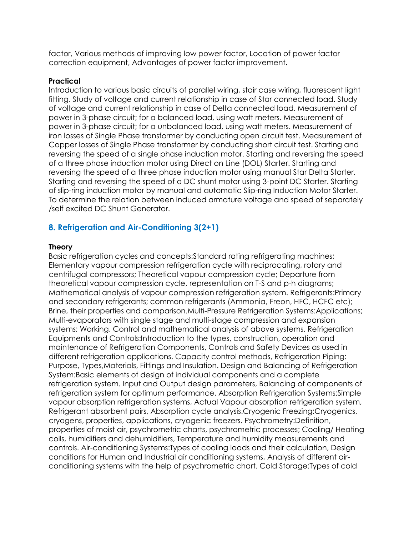factor, Various methods of improving low power factor, Location of power factor correction equipment, Advantages of power factor improvement.

#### **Practical**

Introduction to various basic circuits of parallel wiring, stair case wiring, fluorescent light fitting. Study of voltage and current relationship in case of Star connected load. Study of voltage and current relationship in case of Delta connected load. Measurement of power in 3-phase circuit; for a balanced load, using watt meters. Measurement of power in 3-phase circuit; for a unbalanced load, using watt meters. Measurement of iron losses of Single Phase transformer by conducting open circuit test. Measurement of Copper losses of Single Phase transformer by conducting short circuit test. Starting and reversing the speed of a single phase induction motor. Starting and reversing the speed of a three phase induction motor using Direct on Line (DOL) Starter. Starting and reversing the speed of a three phase induction motor using manual Star Delta Starter. Starting and reversing the speed of a DC shunt motor using 3-point DC Starter. Starting of slip-ring induction motor by manual and automatic Slip-ring Induction Motor Starter. To determine the relation between induced armature voltage and speed of separately /self excited DC Shunt Generator.

### **8. Refrigeration and Air-Conditioning 3(2+1)**

#### **Theory**

Basic refrigeration cycles and concepts:Standard rating refrigerating machines; Elementary vapour compression refrigeration cycle with reciprocating, rotary and centrifugal compressors; Theoretical vapour compression cycle; Departure from theoretical vapour compression cycle, representation on T-S and p-h diagrams; Mathematical analysis of vapour compression refrigeration system. Refrigerants:Primary and secondary refrigerants; common refrigerants (Ammonia, Freon, HFC, HCFC etc); Brine, their properties and comparison.Multi-Pressure Refrigeration Systems:Applications; Multi-evaporators with single stage and multi-stage compression and expansion systems; Working, Control and mathematical analysis of above systems. Refrigeration Equipments and Controls:Introduction to the types, construction, operation and maintenance of Refrigeration Components, Controls and Safety Devices as used in different refrigeration applications. Capacity control methods, Refrigeration Piping: Purpose, Types,Materials, Fittings and Insulation. Design and Balancing of Refrigeration System:Basic elements of design of individual components and a complete refrigeration system. Input and Output design parameters, Balancing of components of refrigeration system for optimum performance. Absorption Refrigeration Systems:Simple vapour absorption refrigeration systems, Actual Vapour absorption refrigeration system, Refrigerant absorbent pairs, Absorption cycle analysis.Cryogenic Freezing:Cryogenics, cryogens, properties, applications, cryogenic freezers. Psychrometry:Definition, properties of moist air, psychrometric charts, psychrometric processes; Cooling/ Heating coils, humidifiers and dehumidifiers, Temperature and humidity measurements and controls. Air-conditioning Systems:Types of cooling loads and their calculation, Design conditions for Human and Industrial air conditioning systems, Analysis of different airconditioning systems with the help of psychrometric chart. Cold Storage:Types of cold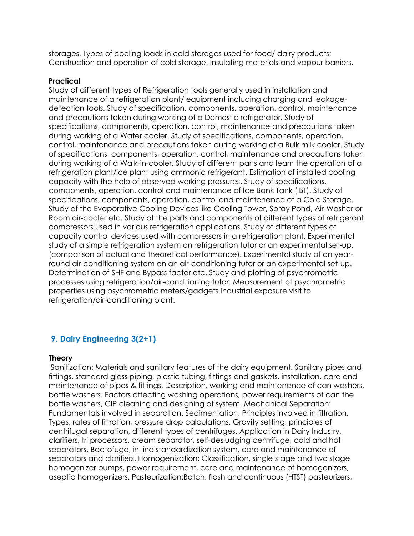storages, Types of cooling loads in cold storages used for food/ dairy products; Construction and operation of cold storage. Insulating materials and vapour barriers.

#### **Practical**

Study of different types of Refrigeration tools generally used in installation and maintenance of a refrigeration plant/ equipment including charging and leakagedetection tools. Study of specification, components, operation, control, maintenance and precautions taken during working of a Domestic refrigerator. Study of specifications, components, operation, control, maintenance and precautions taken during working of a Water cooler. Study of specifications, components, operation, control, maintenance and precautions taken during working of a Bulk milk cooler. Study of specifications, components, operation, control, maintenance and precautions taken during working of a Walk-in-cooler. Study of different parts and learn the operation of a refrigeration plant/ice plant using ammonia refrigerant. Estimation of installed cooling capacity with the help of observed working pressures. Study of specifications, components, operation, control and maintenance of Ice Bank Tank (IBT). Study of specifications, components, operation, control and maintenance of a Cold Storage. Study of the Evaporative Cooling Devices like Cooling Tower, Spray Pond, Air-Washer or Room air-cooler etc. Study of the parts and components of different types of refrigerant compressors used in various refrigeration applications. Study of different types of capacity control devices used with compressors in a refrigeration plant. Experimental study of a simple refrigeration system on refrigeration tutor or an experimental set-up. (comparison of actual and theoretical performance). Experimental study of an yearround air-conditioning system on an air-conditioning tutor or an experimental set-up. Determination of SHF and Bypass factor etc. Study and plotting of psychrometric processes using refrigeration/air-conditioning tutor. Measurement of psychrometric properties using psychrometric meters/gadgets Industrial exposure visit to refrigeration/air-conditioning plant.

## **9. Dairy Engineering 3(2+1)**

#### **Theory**

Sanitization: Materials and sanitary features of the dairy equipment. Sanitary pipes and fittings, standard glass piping, plastic tubing, fittings and gaskets, installation, care and maintenance of pipes & fittings. Description, working and maintenance of can washers, bottle washers. Factors affecting washing operations, power requirements of can the bottle washers, CIP cleaning and designing of system. Mechanical Separation: Fundamentals involved in separation. Sedimentation, Principles involved in filtration, Types, rates of filtration, pressure drop calculations. Gravity setting, principles of centrifugal separation, different types of centrifuges. Application in Dairy Industry, clarifiers, tri processors, cream separator, self-desludging centrifuge, cold and hot separators, Bactofuge, in-line standardization system, care and maintenance of separators and clarifiers. Homogenization: Classification, single stage and two stage homogenizer pumps, power requirement, care and maintenance of homogenizers, aseptic homogenizers. Pasteurization:Batch, flash and continuous (HTST) pasteurizers,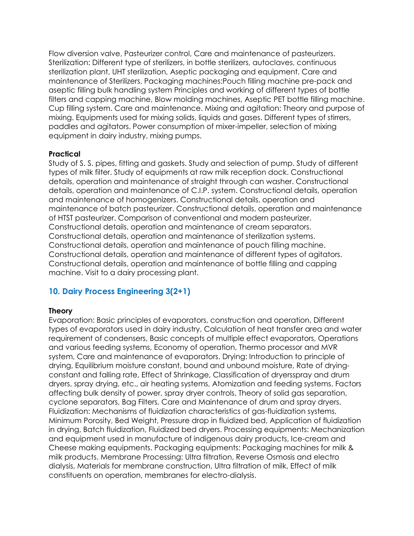Flow diversion valve, Pasteurizer control, Care and maintenance of pasteurizers. Sterilization: Different type of sterilizers, in bottle sterilizers, autoclaves, continuous sterilization plant, UHT sterilization, Aseptic packaging and equipment. Care and maintenance of Sterilizers. Packaging machines:Pouch filling machine pre-pack and aseptic filling bulk handling system Principles and working of different types of bottle filters and capping machine, Blow molding machines, Aseptic PET bottle filling machine. Cup filling system. Care and maintenance. Mixing and agitation: Theory and purpose of mixing. Equipments used for mixing solids, liquids and gases. Different types of stirrers, paddles and agitators. Power consumption of mixer-impeller, selection of mixing equipment in dairy industry, mixing pumps.

#### **Practical**

Study of S. S. pipes, fitting and gaskets. Study and selection of pump. Study of different types of milk filter. Study of equipments at raw milk reception dock. Constructional details, operation and maintenance of straight through can washer. Constructional details, operation and maintenance of C.I.P. system. Constructional details, operation and maintenance of homogenizers. Constructional details, operation and maintenance of batch pasteurizer. Constructional details, operation and maintenance of HTST pasteurizer. Comparison of conventional and modern pasteurizer. Constructional details, operation and maintenance of cream separators. Constructional details, operation and maintenance of sterilization systems. Constructional details, operation and maintenance of pouch filling machine. Constructional details, operation and maintenance of different types of agitators. Constructional details, operation and maintenance of bottle filling and capping machine. Visit to a dairy processing plant.

## **10. Dairy Process Engineering 3(2+1)**

### **Theory**

Evaporation: Basic principles of evaporators, construction and operation, Different types of evaporators used in dairy industry, Calculation of heat transfer area and water requirement of condensers, Basic concepts of multiple effect evaporators, Operations and various feeding systems, Economy of operation, Thermo processor and MVR system, Care and maintenance of evaporators. Drying: Introduction to principle of drying, Equilibrium moisture constant, bound and unbound moisture, Rate of dryingconstant and falling rate, Effect of Shrinkage, Classification of dryersspray and drum dryers, spray drying, etc., air heating systems, Atomization and feeding systems. Factors affecting bulk density of power, spray dryer controls, Theory of solid gas separation, cyclone separators, Bag Filters, Care and Maintenance of drum and spray dryers. Fluidization: Mechanisms of fluidization characteristics of gas-fluidization systems, Minimum Porosity, Bed Weight, Pressure drop in fluidized bed, Application of fluidization in drying, Batch fluidization, Fluidized bed dryers. Processing equipments: Mechanization and equipment used in manufacture of indigenous dairy products, Ice-cream and Cheese making equipments. Packaging equipments: Packaging machines for milk & milk products. Membrane Processing: Ultra filtration, Reverse Osmosis and electro dialysis, Materials for membrane construction, Ultra filtration of milk, Effect of milk constituents on operation, membranes for electro-dialysis.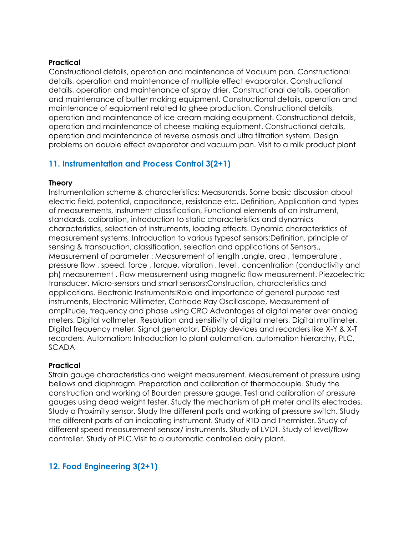### **Practical**

Constructional details, operation and maintenance of Vacuum pan. Constructional details, operation and maintenance of multiple effect evaporator. Constructional details, operation and maintenance of spray drier. Constructional details, operation and maintenance of butter making equipment. Constructional details, operation and maintenance of equipment related to ghee production. Constructional details, operation and maintenance of ice-cream making equipment. Constructional details, operation and maintenance of cheese making equipment. Constructional details, operation and maintenance of reverse osmosis and ultra filtration system. Design problems on double effect evaporator and vacuum pan. Visit to a milk product plant

## **11. Instrumentation and Process Control 3(2+1)**

#### **Theory**

Instrumentation scheme & characteristics: Measurands. Some basic discussion about electric field, potential, capacitance, resistance etc. Definition, Application and types of measurements, instrument classification, Functional elements of an instrument, standards, calibration, introduction to static characteristics and dynamics characteristics, selection of instruments, loading effects. Dynamic characteristics of measurement systems. Introduction to various typesof sensors:Definition, principle of sensing & transduction, classification, selection and applications of Sensors., Measurement of parameter : Measurement of length ,angle, area , temperature , pressure flow , speed, force , torque, vibration , level , concentration (conductivity and ph) measurement . Flow measurement using magnetic flow measurement. Piezoelectric transducer. Micro-sensors and smart sensors:Construction, characteristics and applications. Electronic Instruments:Role and importance of general purpose test instruments, Electronic Millimeter, Cathode Ray Oscilloscope, Measurement of amplitude, frequency and phase using CRO Advantages of digital meter over analog meters, Digital voltmeter, Resolution and sensitivity of digital meters, Digital multimeter, Digital frequency meter, Signal generator. Display devices and recorders like X-Y & X-T recorders. Automation: Introduction to plant automation, automation hierarchy, PLC, **SCADA** 

#### **Practical**

Strain gauge characteristics and weight measurement. Measurement of pressure using bellows and diaphragm. Preparation and calibration of thermocouple. Study the construction and working of Bourden pressure gauge. Test and calibration of pressure gauges using dead weight tester. Study the mechanism of pH meter and its electrodes. Study a Proximity sensor. Study the different parts and working of pressure switch. Study the different parts of an indicating instrument. Study of RTD and Thermister. Study of different speed measurement sensor/ instruments. Study of LVDT. Study of level/flow controller. Study of PLC.Visit to a automatic controlled dairy plant.

## **12. Food Engineering 3(2+1)**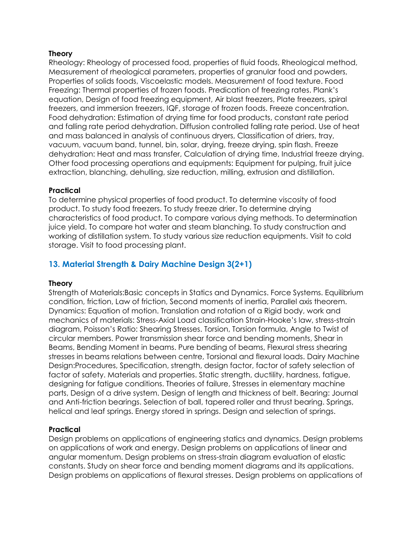#### **Theory**

Rheology: Rheology of processed food, properties of fluid foods, Rheological method, Measurement of rheological parameters, properties of granular food and powders, Properties of solids foods, Viscoelastic models. Measurement of food texture. Food Freezing: Thermal properties of frozen foods. Predication of freezing rates. Plank's equation, Design of food freezing equipment, Air blast freezers, Plate freezers, spiral freezers, and immersion freezers, IQF, storage of frozen foods. Freeze concentration. Food dehydration: Estimation of drying time for food products, constant rate period and falling rate period dehydration. Diffusion controlled falling rate period. Use of heat and mass balanced in analysis of continuous dryers, Classification of driers, tray, vacuum, vacuum band, tunnel, bin, solar, drying, freeze drying, spin flash. Freeze dehydration: Heat and mass transfer, Calculation of drying time, Industrial freeze drying. Other food processing operations and equipments: Equipment for pulping, fruit juice extraction, blanching, dehulling, size reduction, milling, extrusion and distillation.

### **Practical**

To determine physical properties of food product. To determine viscosity of food product. To study food freezers. To study freeze drier. To determine drying characteristics of food product. To compare various dying methods. To determination juice yield. To compare hot water and steam blanching. To study construction and working of distillation system. To study various size reduction equipments. Visit to cold storage. Visit to food processing plant.

## **13. Material Strength & Dairy Machine Design 3(2+1)**

#### **Theory**

Strength of Materials:Basic concepts in Statics and Dynamics. Force Systems. Equilibrium condition, friction, Law of friction, Second moments of inertia, Parallel axis theorem. Dynamics: Equation of motion. Translation and rotation of a Rigid body, work and mechanics of materials: Stress-Axial Load classification Strain-Hooke's law, stress-strain diagram, Poisson's Ratio: Shearing Stresses. Torsion, Torsion formula, Angle to Twist of circular members. Power transmission shear force and bending moments, Shear in Beams, Bending Moment in beams. Pure bending of beams, Flexural stress shearing stresses in beams relations between centre, Torsional and flexural loads. Dairy Machine Design:Procedures, Specification, strength, design factor, factor of safety selection of factor of safety. Materials and properties. Static strength, ductility, hardness, fatigue, designing for fatigue conditions. Theories of failure, Stresses in elementary machine parts, Design of a drive system. Design of length and thickness of belt. Bearing: Journal and Anti-friction bearings. Selection of ball, tapered roller and thrust bearing. Springs, helical and leaf springs. Energy stored in springs. Design and selection of springs.

#### **Practical**

Design problems on applications of engineering statics and dynamics. Design problems on applications of work and energy. Design problems on applications of linear and angular momentum. Design problems on stress-strain diagram evaluation of elastic constants. Study on shear force and bending moment diagrams and its applications. Design problems on applications of flexural stresses. Design problems on applications of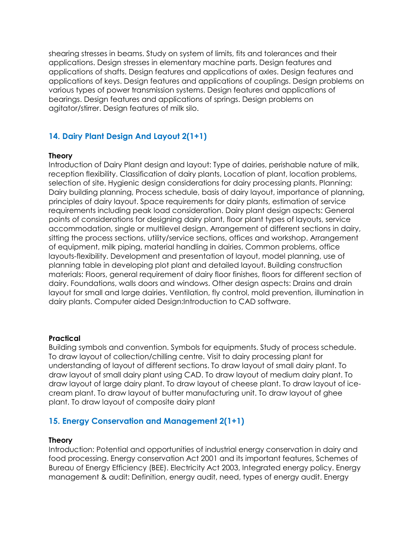shearing stresses in beams. Study on system of limits, fits and tolerances and their applications. Design stresses in elementary machine parts. Design features and applications of shafts. Design features and applications of axles. Design features and applications of keys. Design features and applications of couplings. Design problems on various types of power transmission systems. Design features and applications of bearings. Design features and applications of springs. Design problems on agitator/stirrer. Design features of milk silo.

## **14. Dairy Plant Design And Layout 2(1+1)**

#### **Theory**

Introduction of Dairy Plant design and layout: Type of dairies, perishable nature of milk, reception flexibility. Classification of dairy plants, Location of plant, location problems, selection of site. Hygienic design considerations for dairy processing plants. Planning: Dairy building planning, Process schedule, basis of dairy layout, importance of planning, principles of dairy layout. Space requirements for dairy plants, estimation of service requirements including peak load consideration. Dairy plant design aspects: General points of considerations for designing dairy plant, floor plant types of layouts, service accommodation, single or multilevel design. Arrangement of different sections in dairy, sitting the process sections, utility/service sections, offices and workshop. Arrangement of equipment, milk piping, material handling in dairies, Common problems, office layouts-flexibility. Development and presentation of layout, model planning, use of planning table in developing plot plant and detailed layout. Building construction materials: Floors, general requirement of dairy floor finishes, floors for different section of dairy. Foundations, walls doors and windows. Other design aspects: Drains and drain layout for small and large dairies. Ventilation, fly control, mold prevention, illumination in dairy plants. Computer aided Design:Introduction to CAD software.

#### **Practical**

Building symbols and convention. Symbols for equipments. Study of process schedule. To draw layout of collection/chilling centre. Visit to dairy processing plant for understanding of layout of different sections. To draw layout of small dairy plant. To draw layout of small dairy plant using CAD. To draw layout of medium dairy plant. To draw layout of large dairy plant. To draw layout of cheese plant. To draw layout of icecream plant. To draw layout of butter manufacturing unit. To draw layout of ghee plant. To draw layout of composite dairy plant

### **15. Energy Conservation and Management 2(1+1)**

#### **Theory**

Introduction: Potential and opportunities of industrial energy conservation in dairy and food processing. Energy conservation Act 2001 and its important features, Schemes of Bureau of Energy Efficiency (BEE). Electricity Act 2003, Integrated energy policy. Energy management & audit: Definition, energy audit, need, types of energy audit. Energy